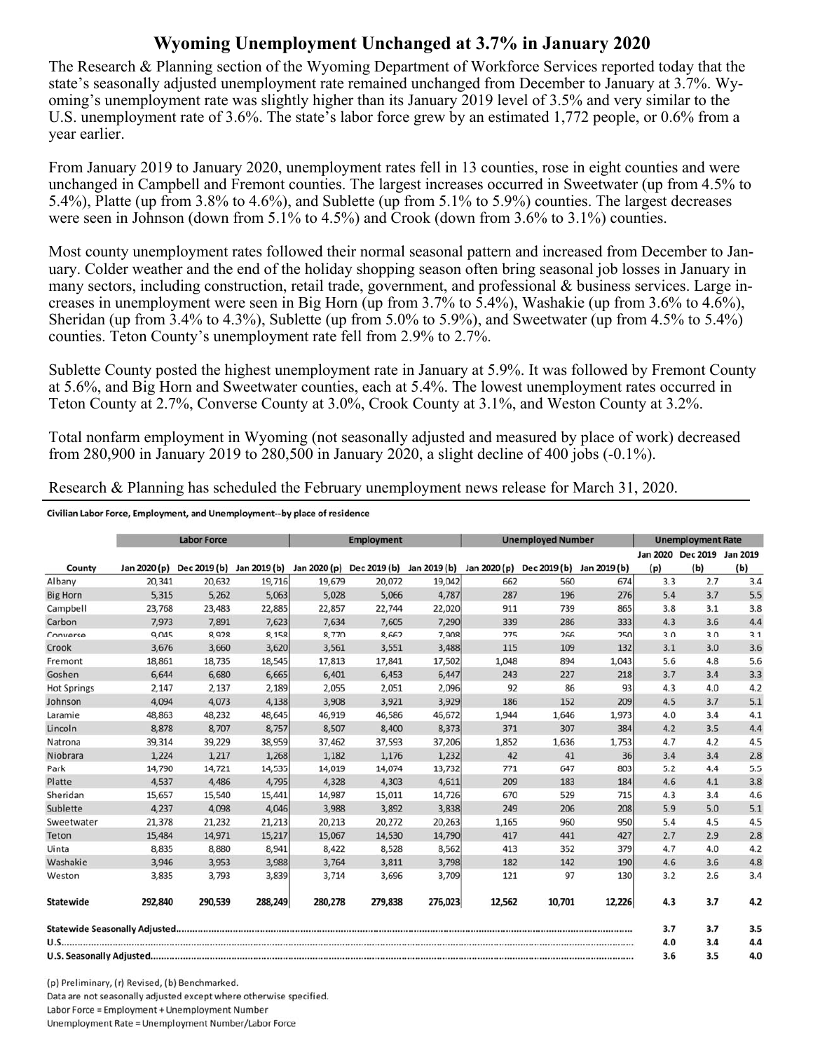## **Wyoming Unemployment Unchanged at 3.7% in January 2020**

The Research & Planning section of the Wyoming Department of Workforce Services reported today that the state's seasonally adjusted unemployment rate remained unchanged from December to January at 3.7%. Wyoming's unemployment rate was slightly higher than its January 2019 level of 3.5% and very similar to the U.S. unemployment rate of 3.6%. The state's labor force grew by an estimated 1,772 people, or 0.6% from a year earlier.

From January 2019 to January 2020, unemployment rates fell in 13 counties, rose in eight counties and were unchanged in Campbell and Fremont counties. The largest increases occurred in Sweetwater (up from 4.5% to 5.4%), Platte (up from 3.8% to 4.6%), and Sublette (up from 5.1% to 5.9%) counties. The largest decreases were seen in Johnson (down from 5.1% to 4.5%) and Crook (down from 3.6% to 3.1%) counties.

Most county unemployment rates followed their normal seasonal pattern and increased from December to January. Colder weather and the end of the holiday shopping season often bring seasonal job losses in January in many sectors, including construction, retail trade, government, and professional & business services. Large increases in unemployment were seen in Big Horn (up from 3.7% to 5.4%), Washakie (up from 3.6% to 4.6%), Sheridan (up from 3.4% to 4.3%), Sublette (up from 5.0% to 5.9%), and Sweetwater (up from 4.5% to 5.4%) counties. Teton County's unemployment rate fell from 2.9% to 2.7%.

Sublette County posted the highest unemployment rate in January at 5.9%. It was followed by Fremont County at 5.6%, and Big Horn and Sweetwater counties, each at 5.4%. The lowest unemployment rates occurred in Teton County at 2.7%, Converse County at 3.0%, Crook County at 3.1%, and Weston County at 3.2%.

Total nonfarm employment in Wyoming (not seasonally adjusted and measured by place of work) decreased from 280,900 in January 2019 to 280,500 in January 2020, a slight decline of 400 jobs (-0.1%).

Research & Planning has scheduled the February unemployment news release for March 31, 2020.

Civilian Labor Force, Employment, and Unemployment--by place of residence

|                    | <b>Labor Force</b> |              |              | <b>Employment</b> |                                        |         | <b>Unemployed Number</b> |              |              | <b>Unemployment Rate</b> |                            |     |
|--------------------|--------------------|--------------|--------------|-------------------|----------------------------------------|---------|--------------------------|--------------|--------------|--------------------------|----------------------------|-----|
|                    |                    |              |              |                   |                                        |         |                          |              |              |                          | Jan 2020 Dec 2019 Jan 2019 |     |
| County             | Jan 2020 (p)       | Dec 2019 (b) | Jan 2019 (b) |                   | Jan 2020 (p) Dec 2019 (b) Jan 2019 (b) |         | Jan 2020 (p)             | Dec 2019 (b) | Jan 2019 (b) | (p)                      | (b)                        | (b) |
| Albany             | 20,341             | 20,632       | 19,716       | 19,679            | 20,072                                 | 19,042  | 662                      | 560          | 674          | 3.3                      | 2.7                        | 3.4 |
| <b>Big Horn</b>    | 5,315              | 5,262        | 5,063        | 5,028             | 5,066                                  | 4,787   | 287                      | 196          | 276          | 5.4                      | 3.7                        | 5.5 |
| Campbell           | 23,768             | 23,483       | 22,885       | 22,857            | 22,744                                 | 22,020  | 911                      | 739          | 865          | 3.8                      | 3.1                        | 3.8 |
| Carbon             | 7.973              | 7.891        | 7,623        | 7.634             | 7.605                                  | 7,290   | 339                      | 286          | 333          | 4.3                      | 3.6                        | 4.4 |
| Converse           | 9,045              | 8,928        | 8,158        | 8,770             | 8,662                                  | 7,908   | 275                      | 266          | 250          | 3.0                      | 3.0                        | 3.1 |
| Crook              | 3,676              | 3,660        | 3,620        | 3,561             | 3,551                                  | 3,488   | 115                      | 109          | 132          | 3.1                      | 3.0                        | 3.6 |
| Fremont            | 18,861             | 18,735       | 18,545       | 17,813            | 17,841                                 | 17,502  | 1,048                    | 894          | 1,043        | 5.6                      | 4.8                        | 5.6 |
| Goshen             | 6,644              | 6,680        | 6,665        | 6,401             | 6,453                                  | 6,447   | 243                      | 227          | 218          | 3.7                      | 3.4                        | 3.3 |
| <b>Hot Springs</b> | 2,147              | 2,137        | 2,189        | 2,055             | 2,051                                  | 2,096   | 92                       | 86           | 93           | 4.3                      | 4.0                        | 4.2 |
| Johnson            | 4,094              | 4,073        | 4,138        | 3,908             | 3,921                                  | 3,929   | 186                      | 152          | 209          | 4.5                      | 3.7                        | 5.1 |
| Laramie            | 48,863             | 48,232       | 48,645       | 46,919            | 46,586                                 | 46,672  | 1,944                    | 1,646        | 1,973        | 4.0                      | 3.4                        | 4.1 |
| Lincoln            | 8,878              | 8,707        | 8,757        | 8,507             | 8,400                                  | 8,373   | 371                      | 307          | 384          | 4.2                      | 3.5                        | 4.4 |
| Natrona            | 39,314             | 39,229       | 38,959       | 37,462            | 37,593                                 | 37,206  | 1,852                    | 1,636        | 1,753        | 4.7                      | 4.2                        | 4.5 |
| Niobrara           | 1,224              | 1,217        | 1,268        | 1,182             | 1,176                                  | 1,232   | 42                       | 41           | 36           | 3.4                      | 3.4                        | 2.8 |
| Park               | 14,790             | 14,721       | 14,535       | 14,019            | 14,074                                 | 13,732  | 771                      | 647          | 803          | 5.2                      | 4.4                        | 5.5 |
| Platte             | 4,537              | 4,486        | 4,795        | 4,328             | 4,303                                  | 4,611   | 209                      | 183          | 184          | 4.6                      | 4.1                        | 3.8 |
| Sheridan           | 15,657             | 15,540       | 15,441       | 14,987            | 15,011                                 | 14,726  | 670                      | 529          | 715          | 4.3                      | 3.4                        | 4.6 |
| Sublette           | 4,237              | 4,098        | 4,046        | 3,988             | 3,892                                  | 3,838   | 249                      | 206          | 208          | 5.9                      | 5.0                        | 5.1 |
| Sweetwater         | 21,378             | 21,232       | 21,213       | 20,213            | 20,272                                 | 20,263  | 1,165                    | 960          | 950          | 5.4                      | 4.5                        | 4.5 |
| Teton              | 15,484             | 14,971       | 15,217       | 15,067            | 14,530                                 | 14,790  | 417                      | 441          | 427          | 2.7                      | 2.9                        | 2.8 |
| Uinta              | 8,835              | 8,880        | 8,941        | 8,422             | 8,528                                  | 8,562   | 413                      | 352          | 379          | 4.7                      | 4.0                        | 4.2 |
| Washakie           | 3,946              | 3,953        | 3,988        | 3,764             | 3,811                                  | 3,798   | 182                      | 142          | 190          | 4.6                      | 3.6                        | 4.8 |
| Weston             | 3,835              | 3,793        | 3,839        | 3,714             | 3,696                                  | 3,709   | 121                      | 97           | 130          | 3.2                      | 2.6                        | 3.4 |
| Statewide          | 292,840            | 290,539      | 288,249      | 280,278           | 279,838                                | 276,023 | 12,562                   | 10,701       | 12,226       | 4.3                      | 3.7                        | 4.2 |
|                    |                    |              |              |                   |                                        |         |                          |              |              | 3.7                      | 3.7                        | 3.5 |
|                    |                    |              |              |                   |                                        |         | 4.0                      | 3.4          | 4.4          |                          |                            |     |
|                    |                    |              |              |                   |                                        |         |                          |              |              | 3.6                      | 3.5                        | 4.0 |

(p) Preliminary, (r) Revised, (b) Benchmarked. Data are not seasonally adjusted except where otherwise specified. Labor Force = Employment + Unemployment Number Unemployment Rate = Unemployment Number/Labor Force